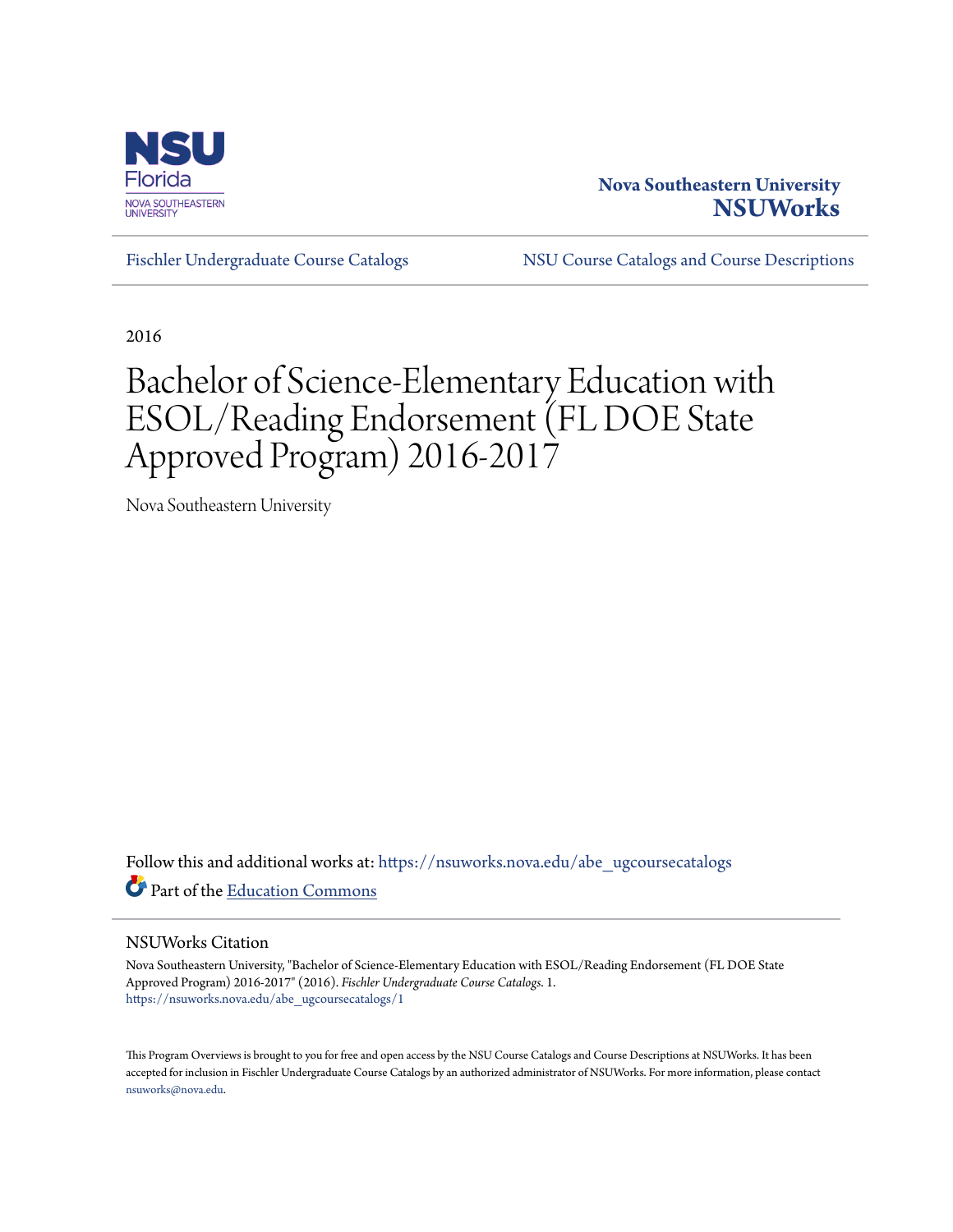

## **Nova Southeastern University [NSUWorks](https://nsuworks.nova.edu?utm_source=nsuworks.nova.edu%2Fabe_ugcoursecatalogs%2F1&utm_medium=PDF&utm_campaign=PDFCoverPages)**

[Fischler Undergraduate Course Catalogs](https://nsuworks.nova.edu/abe_ugcoursecatalogs?utm_source=nsuworks.nova.edu%2Fabe_ugcoursecatalogs%2F1&utm_medium=PDF&utm_campaign=PDFCoverPages) [NSU Course Catalogs and Course Descriptions](https://nsuworks.nova.edu/nsu_catalogs?utm_source=nsuworks.nova.edu%2Fabe_ugcoursecatalogs%2F1&utm_medium=PDF&utm_campaign=PDFCoverPages)

2016

## Bachelor of Science-Elementary Education with ESOL/Reading Endorsement (FL DOE State Approved Program) 2016-2017

Nova Southeastern University

Follow this and additional works at: [https://nsuworks.nova.edu/abe\\_ugcoursecatalogs](https://nsuworks.nova.edu/abe_ugcoursecatalogs?utm_source=nsuworks.nova.edu%2Fabe_ugcoursecatalogs%2F1&utm_medium=PDF&utm_campaign=PDFCoverPages) Part of the [Education Commons](http://network.bepress.com/hgg/discipline/784?utm_source=nsuworks.nova.edu%2Fabe_ugcoursecatalogs%2F1&utm_medium=PDF&utm_campaign=PDFCoverPages)

## NSUWorks Citation

Nova Southeastern University, "Bachelor of Science-Elementary Education with ESOL/Reading Endorsement (FL DOE State Approved Program) 2016-2017" (2016). *Fischler Undergraduate Course Catalogs*. 1. [https://nsuworks.nova.edu/abe\\_ugcoursecatalogs/1](https://nsuworks.nova.edu/abe_ugcoursecatalogs/1?utm_source=nsuworks.nova.edu%2Fabe_ugcoursecatalogs%2F1&utm_medium=PDF&utm_campaign=PDFCoverPages)

This Program Overviews is brought to you for free and open access by the NSU Course Catalogs and Course Descriptions at NSUWorks. It has been accepted for inclusion in Fischler Undergraduate Course Catalogs by an authorized administrator of NSUWorks. For more information, please contact [nsuworks@nova.edu.](mailto:nsuworks@nova.edu)